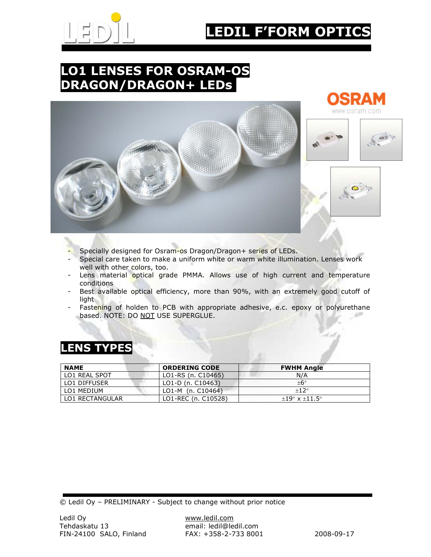

# EDIL F'FORM OPTI

### LO1 LENSES FOR OSRAM-OS DRAGON/DRAGON+ LEDs





- Specially designed for Osram-os Dragon/Dragon+ series of LEDs.
- Special care taken to make a uniform white or warm white illumination. Lenses work well with other colors, too.
- Lens material optical grade PMMA. Allows use of high current and temperature conditions
- Best available optical efficiency, more than 90%, with an extremely good cutoff of light.
- Fastening of holden to PCB with appropriate adhesive, e.c. epoxy or polyurethane based. NOTE: DO NOT USE SUPERGLUE.

| <b>NAME</b>     | <b>ORDERING CODE</b> | <b>FWHM Angle</b>               |
|-----------------|----------------------|---------------------------------|
| LO1 REAL SPOT   | LO1-RS (n. C10465)   | N/A                             |
| LO1 DIFFUSER    | LO1-D (n. C10463)    | $+6^\circ$                      |
| LO1 MEDIUM      | LO1-M (n. C10464)    | $+12°$                          |
| LO1 RECTANGULAR | LO1-REC (n. C10528)  | $+19^{\circ}$ x $+11.5^{\circ}$ |

#### LENS TYPES

© Ledil Oy – PRELIMINARY - Subject to change without prior notice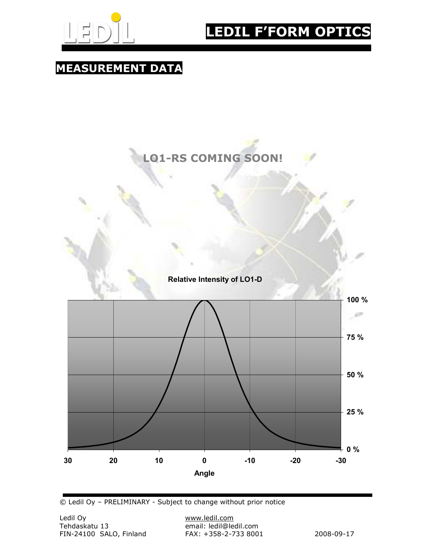

## LEDIL F'FORM OPTICS

### MEASUREMENT DATA

### LO1-RS COMING SOON!





© Ledil Oy – PRELIMINARY - Subject to change without prior notice

email: ledil@ledil.com<br>FAX: +358-2-733 8001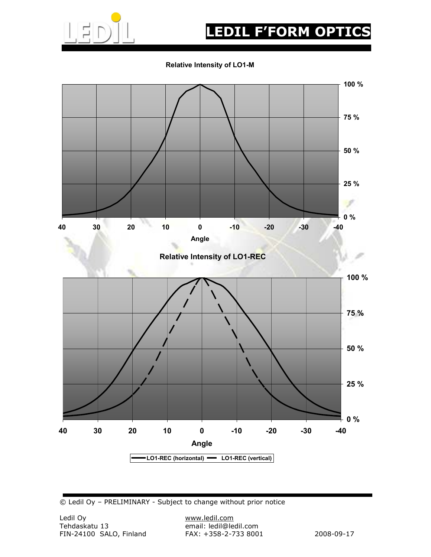

# EDIL F'FORM OPTIC

Relative Intensity of LO1-M



© Ledil Oy – PRELIMINARY - Subject to change without prior notice

email: ledil@ledil.com<br>FAX: +358-2-733 8001